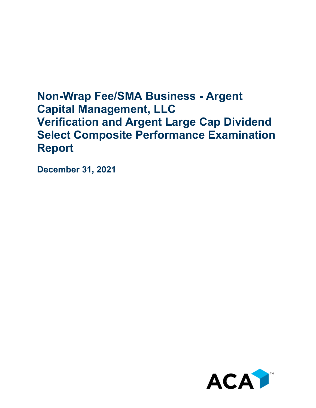# **Non-Wrap Fee/SMA Business - Argent Capital Management, LLC Verification and Argent Large Cap Dividend Select Composite Performance Examination Report**

**December 31, 2021**

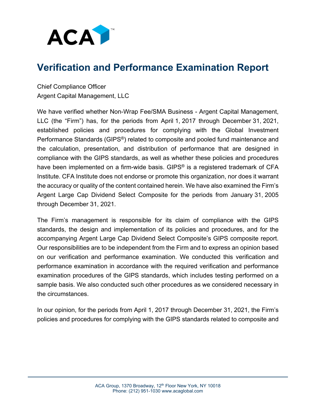

## **Verification and Performance Examination Report**

Chief Compliance Officer Argent Capital Management, LLC

We have verified whether Non-Wrap Fee/SMA Business - Argent Capital Management, LLC (the "Firm") has, for the periods from April 1, 2017 through December 31, 2021, established policies and procedures for complying with the Global Investment Performance Standards (GIPS®) related to composite and pooled fund maintenance and the calculation, presentation, and distribution of performance that are designed in compliance with the GIPS standards, as well as whether these policies and procedures have been implemented on a firm-wide basis. GIPS<sup>®</sup> is a registered trademark of CFA Institute. CFA Institute does not endorse or promote this organization, nor does it warrant the accuracy or quality of the content contained herein. We have also examined the Firm's Argent Large Cap Dividend Select Composite for the periods from January 31, 2005 through December 31, 2021.

The Firm's management is responsible for its claim of compliance with the GIPS standards, the design and implementation of its policies and procedures, and for the accompanying Argent Large Cap Dividend Select Composite's GIPS composite report. Our responsibilities are to be independent from the Firm and to express an opinion based on our verification and performance examination. We conducted this verification and performance examination in accordance with the required verification and performance examination procedures of the GIPS standards, which includes testing performed on a sample basis. We also conducted such other procedures as we considered necessary in the circumstances.

In our opinion, for the periods from April 1, 2017 through December 31, 2021, the Firm's policies and procedures for complying with the GIPS standards related to composite and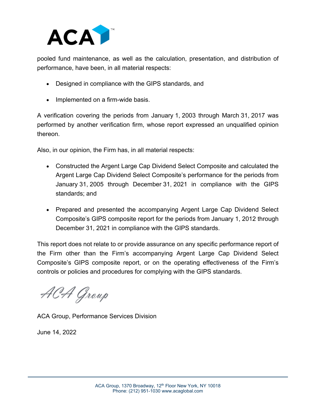

pooled fund maintenance, as well as the calculation, presentation, and distribution of performance, have been, in all material respects:

- Designed in compliance with the GIPS standards, and
- Implemented on a firm-wide basis.

A verification covering the periods from January 1, 2003 through March 31, 2017 was performed by another verification firm, whose report expressed an unqualified opinion thereon.

Also, in our opinion, the Firm has, in all material respects:

- Constructed the Argent Large Cap Dividend Select Composite and calculated the Argent Large Cap Dividend Select Composite's performance for the periods from January 31, 2005 through December 31, 2021 in compliance with the GIPS standards; and
- Prepared and presented the accompanying Argent Large Cap Dividend Select Composite's GIPS composite report for the periods from January 1, 2012 through December 31, 2021 in compliance with the GIPS standards.

This report does not relate to or provide assurance on any specific performance report of the Firm other than the Firm's accompanying Argent Large Cap Dividend Select Composite's GIPS composite report, or on the operating effectiveness of the Firm's controls or policies and procedures for complying with the GIPS standards.

ACA Group

ACA Group, Performance Services Division

June 14, 2022